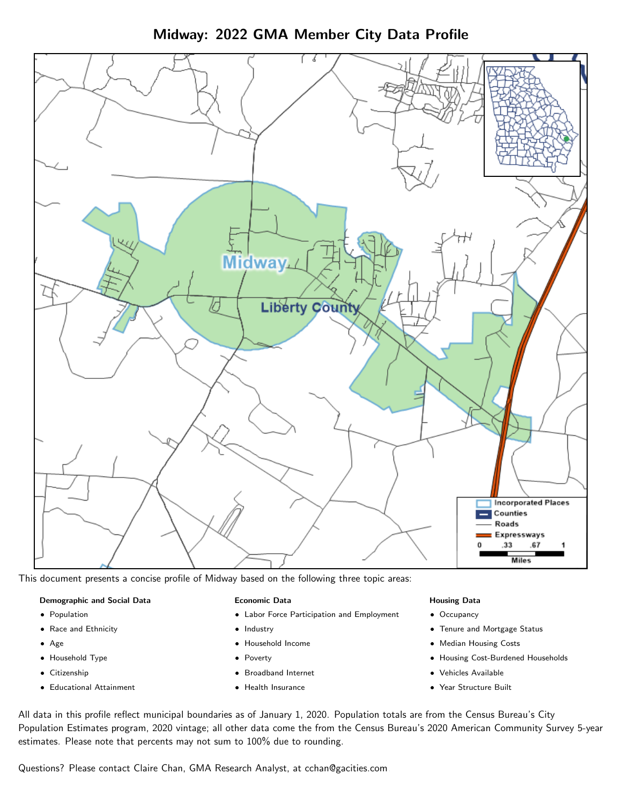Midway: 2022 GMA Member City Data Profile



This document presents a concise profile of Midway based on the following three topic areas:

#### Demographic and Social Data

- **•** Population
- Race and Ethnicity
- Age
- Household Type
- **Citizenship**
- Educational Attainment

#### Economic Data

- Labor Force Participation and Employment
- Industry
- Household Income
- Poverty
- Broadband Internet
- Health Insurance

#### Housing Data

- Occupancy
- Tenure and Mortgage Status
- Median Housing Costs
- Housing Cost-Burdened Households
- Vehicles Available
- $\bullet$ Year Structure Built

All data in this profile reflect municipal boundaries as of January 1, 2020. Population totals are from the Census Bureau's City Population Estimates program, 2020 vintage; all other data come the from the Census Bureau's 2020 American Community Survey 5-year estimates. Please note that percents may not sum to 100% due to rounding.

Questions? Please contact Claire Chan, GMA Research Analyst, at [cchan@gacities.com.](mailto:cchan@gacities.com)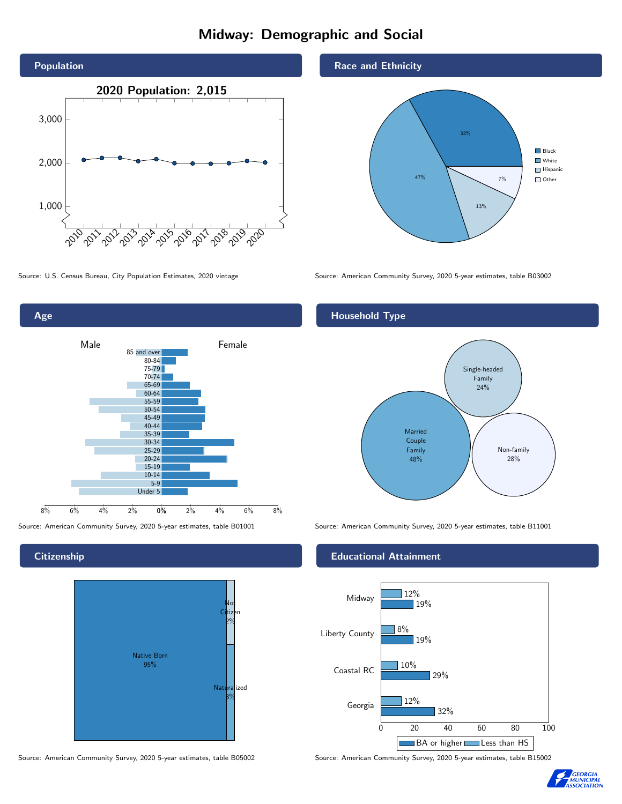# Midway: Demographic and Social





**Citizenship** 



Source: American Community Survey, 2020 5-year estimates, table B05002 Source: American Community Survey, 2020 5-year estimates, table B15002

### Race and Ethnicity



Source: U.S. Census Bureau, City Population Estimates, 2020 vintage Source: American Community Survey, 2020 5-year estimates, table B03002

## Household Type



Source: American Community Survey, 2020 5-year estimates, table B01001 Source: American Community Survey, 2020 5-year estimates, table B11001

#### Educational Attainment



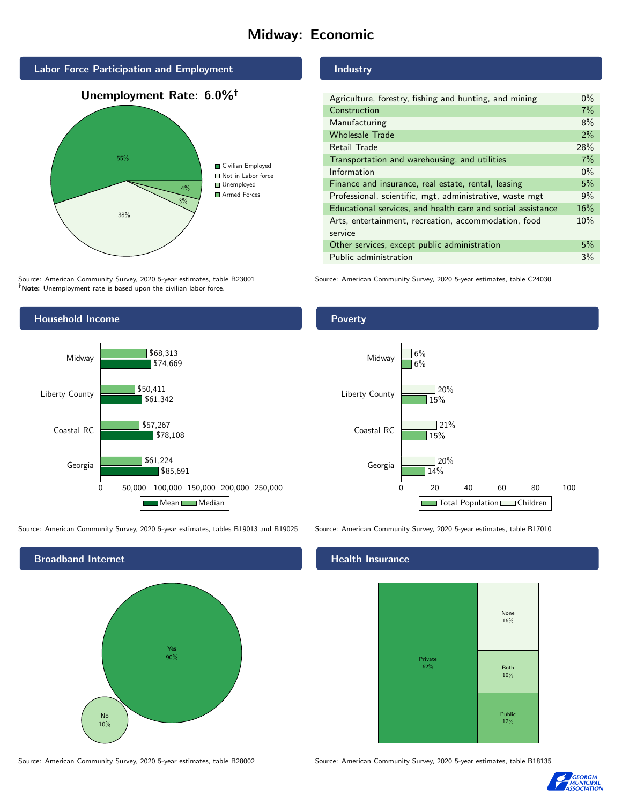# Midway: Economic



Source: American Community Survey, 2020 5-year estimates, table B23001 Note: Unemployment rate is based upon the civilian labor force.



Source: American Community Survey, 2020 5-year estimates, tables B19013 and B19025 Source: American Community Survey, 2020 5-year estimates, table B17010



Source: American Community Survey, 2020 5-year estimates, table B28002 Source: American Community Survey, 2020 5-year estimates, table B18135

Industry

| Agriculture, forestry, fishing and hunting, and mining      | $0\%$ |
|-------------------------------------------------------------|-------|
| Construction                                                | 7%    |
| Manufacturing                                               | 8%    |
| <b>Wholesale Trade</b>                                      | 2%    |
| Retail Trade                                                | 28%   |
| Transportation and warehousing, and utilities               | 7%    |
| Information                                                 | $0\%$ |
| Finance and insurance, real estate, rental, leasing         | 5%    |
| Professional, scientific, mgt, administrative, waste mgt    | 9%    |
| Educational services, and health care and social assistance | 16%   |
| Arts, entertainment, recreation, accommodation, food        | 10%   |
| service                                                     |       |
| Other services, except public administration                | 5%    |
| Public administration                                       | 3%    |

Source: American Community Survey, 2020 5-year estimates, table C24030

Poverty



#### Health Insurance